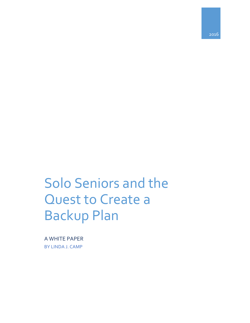2016

# Solo Seniors and the Quest to Create a Backup Plan

A WHITE PAPER BY LINDA J. CAMP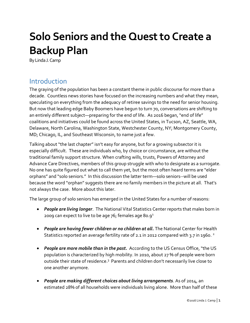# **Solo Seniors and the Quest to Create a Backup Plan**

By Linda J. Camp

## Introduction

The graying of the population has been a constant theme in public discourse for more than a decade. Countless news stories have focused on the increasing numbers and what they mean, speculating on everything from the adequacy of retiree savings to the need for senior housing. But now that leading edge Baby Boomers have begun to turn 70, conversations are shifting to an entirely different subject—preparing for the end of life. As 2016 began, "end of life" coalitions and initiatives could be found across the United States, in Tucson, AZ, Seattle, WA, Delaware, North Carolina, Washington State, Westchester County, NY; Montgomery County, MD; Chicago, IL, and Southeast Wisconsin, to name just a few.

Talking about "the last chapter" isn't easy for anyone, but for a growing subsector it is especially difficult. These are individuals who, by choice or circumstance, are without the traditional family support structure. When crafting wills, trusts, Powers of Attorney and Advance Care Directives, members of this group struggle with who to designate as a surrogate. No one has quite figured out what to call them yet, but the most often heard terms are "elder orphans" and "solo seniors." In this discussion the latter term—solo seniors--will be used because the word "orphan" suggests there are no family members in the picture at all. That's not always the case. More about this later.

The large group of solo seniors has emerged in the United States for a number of reasons:

- *People are living longer*. The National Vital Statistics Center reports that males born in 2009 can expect to live to be age  $76$ ; females age 80.9<sup>1</sup>
- *People are having fewer children or no children at all.* The National Center for Health Statistics reported an average fertility rate of 2.1 in 2012 compared with 3.7 in 1960. <sup>2</sup>
- *People are more mobile than in the past.* According to the US Census Office, "the US population is characterized by high mobility. In 2010, about 27 % of people were born outside their state of residence.<sup>3</sup> Parents and children don't necessarily live close to one another anymore.
- *People are making different choices about living arrangements*. As of 2014, an estimated 28% of all households were individuals living alone. More than half of these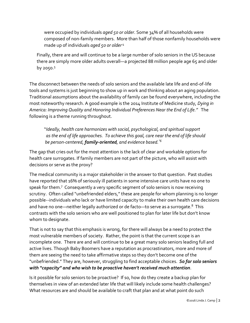were occupied by individuals *aged 50 or older*. Some 34% of all households were composed of non-family members. More than half of those nonfamily households were made up of individuals *aged 50 or older* <sup>4</sup>

Finally, there are and will continue to be a large number of solo seniors in the US because there are simply more older adults overall—a projected 88 million people age 65 and older by 2050.<sup>5</sup>

The disconnect between the needs of solo seniors and the available late life and end-of-life tools and systems is just beginning to show up in work and thinking about an aging population. Traditional assumptions about the availability of family can be found everywhere, including the most noteworthy research. A good example is the 2014 Institute of Medicine study, *Dying in America: Improving Quality and Honoring Individual Preferences Near the End of Life."* The following is a theme running throughout.

 "*Ideally, health care harmonizes with social, psychological, and spiritual support as the end of life approaches. To achieve this goal, care near the end of life should be person-centered, family-oriented, and evidence based."<sup>6</sup>*

The gap that cries out for the most attention is the lack of clear and workable options for health care surrogates. If family members are not part of the picture, who will assist with decisions or serve as the proxy?

The medical community is a major stakeholder in the answer to that question. Past studies have reported that 16% of seriously ill patients in some intensive care units have no one to speak for them.<sup>7</sup> Consequently a very specific segment of solo seniors is now receiving scrutiny. Often called "unbefriended elders," these are people for whom planning is no longer possible--individuals who lack or have limited capacity to make their own health care decisions and have no one—neither legally authorized or de facto—to serve as a surrogate.<sup>8</sup> This contrasts with the solo seniors who are well positioned to plan for later life but don't know whom to designate.

That is not to say that this emphasis is wrong, for there will always be a need to protect the most vulnerable members of society. Rather, the point is that the current scope is an incomplete one. There are and will continue to be a great many solo seniors leading full and active lives. Though Baby Boomers have a reputation as procrastinators, more and more of them are seeing the need to take affirmative steps so they don't become one of the "unbefriended." They are, however, struggling to find acceptable choices. *So far solo seniors with "capacity" and who wish to be proactive haven't received much attention*.

Is it possible for solo seniors to be proactive? If so, how do they create a backup plan for themselves in view of an extended later life that will likely include some health challenges? What resources are and should be available to craft that plan and at what point do such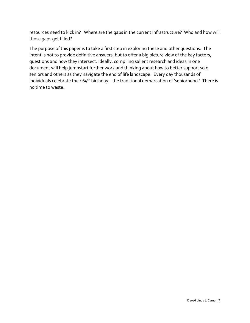resources need to kick in? Where are the gaps in the current Infrastructure? Who and how will those gaps get filled?

The purpose of this paper is to take a first step in exploring these and other questions. The intent is not to provide definitive answers, but to offer a big picture view of the key factors, questions and how they intersect. Ideally, compiling salient research and ideas in one document will help jumpstart further work and thinking about how to better support solo seniors and others as they navigate the end of life landscape. Every day thousands of individuals celebrate their  $65<sup>th</sup>$  birthday—the traditional demarcation of 'seniorhood.' There is no time to waste.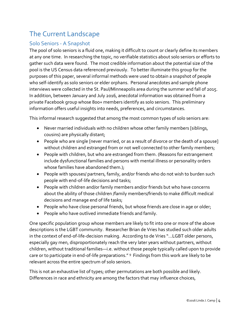# The Current Landscape

## Solo Seniors - A Snapshot

The pool of solo seniors is a fluid one, making it difficult to count or clearly define its members at any one time. In researching the topic, no verifiable statistics about solo seniors or efforts to gather such data were found. The most credible information about the potential size of the pool is the US Census data referenced previously. To better illuminate this group for the purposes of this paper, several informal methods were used to obtain a snapshot of people who self-identify as solo seniors or elder orphans. Personal anecdotes and sample phone interviews were collected in the St. Paul/Minneapolis area during the summer and fall of 2015. In addition, between January and July 2016, anecdotal information was obtained from a private Facebook group whose 800+ members identify as solo seniors. This preliminary information offers useful insights into needs, preferences, and circumstances.

This informal research suggested that among the most common types of solo seniors are:

- Never married individuals with no children whose other family members [siblings, cousins) are physically distant;
- People who are single [never married, or as a result of divorce or the death of a spouse] without children and estranged from or not well connected to other family members;
- People with children, but who are estranged from them. (Reasons for estrangement include dysfunctional families and persons with mental illness or personality orders whose families have abandoned them.);
- People with spouses/ partners, family, and/or friends who do not wish to burden such people with end-of-life decisions and tasks;
- People with children and/or family members and/or friends but who have concerns about the ability of those children /family members/friends to make difficult medical decisions and manage end of life tasks;
- People who have close personal friends, but whose friends are close in age or older;
- People who have outlived immediate friends and family.

One specific population group whose members are likely to fit into one or more of the above descriptions is the LGBT community. Researcher Brian de Vries has studied such older adults in the context of end-of-life-decision making. According to de Vries "…LGBT older persons, especially gay men, disproportionately reach the very later years without partners, without children, without traditional families—i.e. without those people typically called upon to provide care or to participate in end-of-life preparations." 9 Findings from this work are likely to be relevant across the entire spectrum of solo seniors.

This is not an exhaustive list of types; other permutations are both possible and likely. Differences in race and ethnicity are among the factors that may influence choices,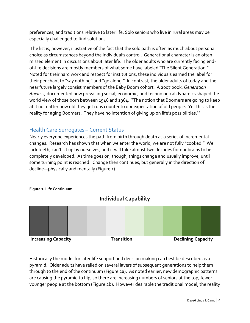preferences, and traditions relative to later life. Solo seniors who live in rural areas may be especially challenged to find solutions.

The list is, however, illustrative of the fact that the solo path is often as much about personal choice as circumstances beyond the individual's control. Generational character is an often missed element in discussions about later life. The older adults who are currently facing endof-life decisions are mostly members of what some have labeled "The Silent Generation." Noted for their hard work and respect for institutions, these individuals earned the label for their penchant to "say nothing" and "go along." In contrast, the older adults of today and the near future largely consist members of the Baby Boom cohort. A 2007 book, *Generation Ageless,* documented how prevailing social, economic, and technological dynamics shaped the world view of those born between 1946 and 1964. "The notion that Boomers are going to keep at it no matter how old they get runs counter to our expectation of old people. Yet this is the reality for aging Boomers. They have no intention of giving up on life's possibilities.<sup>10</sup>

## Health Care Surrogates – Current Status

Nearly everyone experiences the path from birth through death as a series of incremental changes. Research has shown that when we enter the world, we are not fully "cooked." We lack teeth, can't sit up by ourselves, and it will take almost two decades for our brains to be completely developed. As time goes on, though, things change and usually improve, until some turning point is reached. Change then continues, but generally in the direction of decline—physically and mentally (Figure 1).

### **Figure 1. Life Continuum**



**Individual Capability**

Historically the model for later life support and decision making can best be described as a pyramid. Older adults have relied on several layers of subsequent generations to help them through to the end of the continuum (Figure 2a). As noted earlier, new demographic patterns are causing the pyramid to flip, so there are increasing numbers of seniors at the top, fewer younger people at the bottom (Figure 2b). However desirable the traditional model, the reality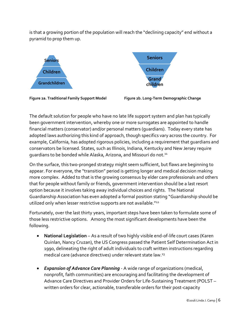is that a growing portion of the population will reach the "declining capacity" end without a pyramid to prop them up.



The default solution for people who have no late life support system and plan has typically been government intervention, whereby one or more surrogates are appointed to handle financial matters (conservator) and/or personal matters (guardians). Today every state has adopted laws authorizing this kind of approach, though specifics vary across the country. For example, California, has adopted rigorous policies, including a requirement that guardians and conservators be licensed. States, such as Illinois, Indiana, Kentucky and New Jersey require guardians to be bonded while Alaska, Arizona, and Missouri do not.<sup>11</sup>

On the surface, this two-pronged strategy might seem sufficient, but flaws are beginning to appear. For everyone, the "transition" period is getting longer and medical decision making more complex. Added to that is the growing consensus by elder care professionals and others that for people without family or friends, government intervention should be a last resort option because it involves taking away individual choices and rights. The National Guardianship Association has even adopted a formal position stating "Guardianship should be utilized only when lesser restrictive supports are not available."<sup>12</sup>

Fortunately, over the last thirty years, important steps have been taken to formulate some of those less restrictive options. Among the most significant developments have been the following.

- **National Legislation** As a result of two highly visible end-of-life court cases (Karen Quinlan, Nancy Cruzan), the US Congress passed the Patient Self Determination Act in 1990, delineating the right of adult individuals to craft written instructions regarding medical care (advance directives) under relevant state law.<sup>13</sup>
- *Expansion of Advance Care Planning* A wide range of organizations (medical, nonprofit, faith communities) are encouraging and facilitating the development of Advance Care Directives and Provider Orders for Life-Sustaining Treatment (POLST – written orders for clear, actionable, transferable orders for their post-capacity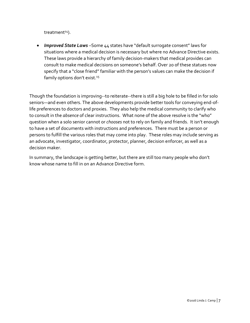treatment<sup>14</sup>).

 *Improved State Laws* –Some 44 states have "default surrogate consent" laws for situations where a medical decision is necessary but where no Advance Directive exists. These laws provide a hierarchy of family decision-makers that medical provides can consult to make medical decisions on someone's behalf. Over 20 of these statues now specify that a "close friend" familiar with the person's values can make the decision if family options don't exist.<sup>15</sup>

Though the foundation is improving--to reiterate--there is still a big hole to be filled in for solo seniors—and even others. The above developments provide better tools for conveying end-oflife preferences to doctors and proxies. They also help the medical community to clarify who to consult in the *absence* of clear instructions. What none of the above resolve is the "who" question when a solo senior cannot or *chooses* not to rely on family and friends. It isn't enough to have a set of documents with instructions and preferences. There must be a person or persons to fulfill the various roles that may come into play. These roles may include serving as an advocate, investigator, coordinator, protector, planner, decision enforcer, as well as a decision maker.

In summary, the landscape is getting better, but there are still too many people who don't know whose name to fill in on an Advance Directive form.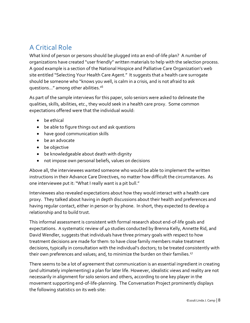# A Critical Role

What kind of person or persons should be plugged into an end-of-life plan? A number of organizations have created "user friendly" written materials to help with the selection process. A good example is a section of the National Hospice and Palliative Care Organization's web site entitled "Selecting Your Health Care Agent." It suggests that a health care surrogate should be someone who "knows you well, is calm in a crisis, and is not afraid to ask questions…" among other abilities.<sup>16</sup>

As part of the sample interviews for this paper, solo seniors were asked to delineate the qualities, skills, abilities, etc., they would seek in a health care proxy. Some common expectations offered were that the individual would:

- be ethical
- be able to figure things out and ask questions
- have good communication skills
- be an advocate
- be objective
- be knowledgeable about death with dignity
- not impose own personal beliefs, values on decisions

Above all, the interviewees wanted someone who would be able to implement the written instructions in their Advance Care Directives, no matter how difficult the circumstances. As one interviewee put it: "What I really want is a pit bull."

Interviewees also revealed expectations about how they would interact with a health care proxy. They talked about having in depth discussions about their health and preferences and having regular contact, either in person or by phone. In short, they expected to develop a relationship and to build trust.

This informal assessment is consistent with formal research about end-of-life goals and expectations. A systematic review of 40 studies conducted by Brenna Kelly, Annette Rid, and David Wendler, suggests that individuals have three primary goals with respect to how treatment decisions are made for them: to have close family members make treatment decisions, typically in consultation with the individual's doctors; to be treated consistently with their own preferences and values; and, to minimize the burden on their families.<sup>17</sup>

There seems to be a lot of agreement that communication is an essential ingredient in creating (and ultimately implementing) a plan for later life. However, idealistic views and reality are not necessarily in alignment for solo seniors and others, according to one key player in the movement supporting end-of-life-planning. The Conversation Project prominently displays the following statistics on its web site: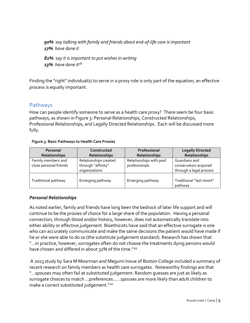*90% say talking with family and friends about end-of-life care is important 27% have done it*

*82% say it is important to put wishes in writing 23% have done it*<sup>18</sup>

Finding the "right" individual(s) to serve in a proxy role is only part of the equation; an effective process is equally important.

## Pathways

How can people identify someone to serve as a health care proxy? There seem be four basic pathways, as shown in Figure 3: Personal Relationships, Constructed Relationships, Professional Relationships, and Legally Directed Relationships. Each will be discussed more fully.

#### **Figure 3. Basic Pathways to Health Care Proxies**

| Personal<br>Relationships                    | Constructed<br>Relationships                                 | Professional<br>Relationships            | <b>Legally Directed</b><br>Relationships                          |  |
|----------------------------------------------|--------------------------------------------------------------|------------------------------------------|-------------------------------------------------------------------|--|
| Family members and<br>close personal friends | Relationships created<br>through "affinity"<br>organizations | Relationships with paid<br>professionals | Guardians and<br>conservators acquired<br>through a legal process |  |
| Traditional pathway                          | Emerging pathway                                             | Emerging pathway                         | Traditional "last resort"<br>pathway                              |  |

## *Personal Relationships*

As noted earlier, family and friends have long been the bedrock of later life support and will continue to be the proxies of choice for a large share of the population. Having a personal connection, through blood and/or history, however, does not automatically translate into either ability or effective judgement. Bioethicists have said that an effective surrogate is one who can accurately communicate and make the same decisions the patient would have made if he or she were able to do so (the substitute judgement standard). Research has shown that "…in practice, however, surrogates often do not choose the treatments dying persons would have chosen and differed in about 32% of the time."<sup>19</sup>

A 2013 study by Sara M Moorman and Megumi Inoue of Boston College included a summary of recent research on family members as health care surrogates. Noteworthy findings are that "…spouses may often fail at substituted judgement: Random guesses are just as likely as surrogate choices to match …preferences……spouses are more likely than adult children to make a correct substituted judgement."<sup>20</sup>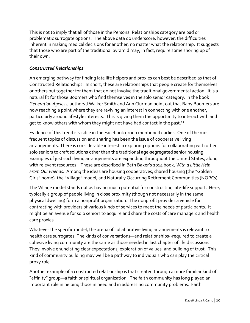This is not to imply that all of those in the Personal Relationships category are bad or problematic surrogate options. The above data do underscore, however, the difficulties inherent in making medical decisions for another, no matter what the relationship. It suggests that those who are part of the traditional pyramid may, in fact, require some shoring up of their own.

## *Constructed Relationships*

An emerging pathway for finding late life helpers and proxies can best be described as that of Constructed Relationships. In short, these are relationships that people create for themselves or others put together for them that do not involve the traditional governmental action. It is a natural fit for those Boomers who find themselves in the solo senior category. In the book *Generation Ageless*, authors J Walker Smith and Ann Clurman point out that Baby Boomers are now reaching a point where they are reviving an interest in connecting with one another, particularly around lifestyle interests. This is giving them the opportunity to interact with and get to know others with whom they might not have had contact in the past.<sup>21</sup>

Evidence of this trend is visible in the Facebook group mentioned earlier. One of the most frequent topics of discussion and sharing has been the issue of cooperative living arrangements. There is considerable interest in exploring options for collaborating with other solo seniors to craft solutions other than the traditional age-segregated senior housing. Examples of just such living arrangements are expanding throughout the United States, along with relevant resources. These are described in Beth Baker's 2014 book, *With a Little Help From Our Friends.* Among the ideas are housing cooperatives, shared housing [the "Golden Girls" home), the "Village" model, and Naturally Occurring Retirement Communities (NORCs).

The Village model stands out as having much potential for constructing late-life support. Here, typically a group of people living in close proximity (though not necessarily in the same physical dwelling) form a nonprofit organization. The nonprofit provides a vehicle for contracting with providers of various kinds of services to meet the needs of participants. It might be an avenue for solo seniors to acquire and share the costs of care managers and health care proxies.

Whatever the specific model, the arena of collaborative living arrangements is relevant to health care surrogates. The kinds of conversations—and relationships--required to create a cohesive living community are the same as those needed in last chapter of life discussions. They involve enunciating clear expectations, exploration of values, and building of trust. This kind of community building may well be a pathway to individuals who can play the critical proxy role.

Another example of a constructed relationship is that created through a more familiar kind of "affinity" group—a faith or spiritual organization. The faith community has long played an important role in helping those in need and in addressing community problems. Faith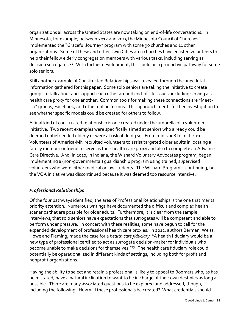organizations all across the United States are now taking on end-of-life conversations. In Minnesota, for example, between 2012 and 2015 the Minnesota Council of Churches implemented the "Graceful Journey" program with some 90 churches and 11 other organizations. Some of these and other Twin Cities area churches have enlisted volunteers to help their fellow elderly congregation members with various tasks, including serving as decision surrogates.<sup>22</sup> With further development, this could be a productive pathway for some solo seniors.

Still another example of Constructed Relationships was revealed through the anecdotal information gathered for this paper. Some solo seniors are taking the initiative to create groups to talk about and support each other around end-of-life issues, including serving as a health care proxy for one another. Common tools for making these connections are "Meet-Up" groups, Facebook, and other online forums. This approach merits further investigation to see whether specific models could be created for others to follow.

A final kind of constructed relationship is one created under the umbrella of a volunteer initiative. Two recent examples were specifically aimed at seniors who already could be deemed unbefriended elderly or were at risk of doing so. From mid-2008 to mid-2010, Volunteers of America-MN recruited volunteers to assist targeted older adults in locating a family member or friend to serve as their health care proxy and also to complete an Advance Care Directive. And, in 2010, in Indiana, the Wishard Voluntary Advocates program, began implementing a (non-governmental) guardianship program using trained, supervised volunteers who were either medical or law students. The Wishard Program is continuing, but the VOA initiative was discontinued because it was deemed too resource intensive.

## *Professional Relationships*

Of the four pathways identified, the area of Professional Relationships is the one that merits priority attention. Numerous writings have documented the difficult and complex health scenarios that are possible for older adults. Furthermore, it is clear from the sample interviews, that solo seniors have expectations that surrogates will be competent and able to perform under pressure. In concert with these realities, some have begun to call for the expanded development of professional health care proxies. In 2012, authors Berman, Weiss, Howe and Fleming, made the case for a *health care fiduciary.* "A health fiduciary would be a new type of professional certified to act as surrogate decision-maker for individuals who become unable to make decisions for themselves."<sup>23</sup> The health care fiduciary role could potentially be operationalized in different kinds of settings, including both for profit and nonprofit organizations.

Having the ability to select and retain a professional is likely to appeal to Boomers who, as has been stated, have a natural inclination to want to be in charge of their own destinies as long as possible. There are many associated questions to be explored and addressed, though, including the following. How will these professionals be created? What credentials should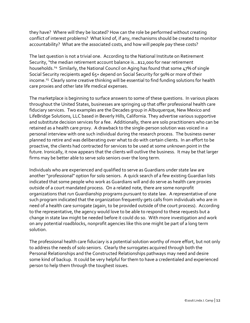they have? Where will they be located? How can the role be performed without creating conflict of interest problems? What kind of, if any, mechanisms should be created to monitor accountability? What are the associated costs, and how will people pay these costs?

The last question is not a trivial one. According to the National Institute on Retirement Security, "the median retirement account balance is…\$12,000 for near retirement households.<sup>24</sup> Similarly, the National Council on Aging has found that some 47% of single Social Security recipients aged 65+ depend on Social Security for 90% or more of their income.<sup>25</sup> Clearly some creative thinking will be essential to find funding solutions for health care proxies and other late life medical expenses.

The marketplace is beginning to surface answers to some of these questions. In various places throughout the United States, businesses are springing up that offer professional health care fiduciary services. Two examples are the Decades group in Albuquerque, New Mexico and LifeBridge Solutions, LLC based in Beverly Hills, California. They advertise various supportive and substitute decision services for a fee. Additionally, there are solo practitioners who can be retained as a health care proxy. A drawback to the single-person solution was voiced in a personal interview with one such individual during the research process. The business owner planned to retire and was deliberating over what to do with certain clients. In an effort to be proactive, the clients had contracted for services to be used at some unknown point in the future. Ironically, it now appears that the clients will outlive the business. It may be that larger firms may be better able to serve solo seniors over the long term.

Individuals who are experienced and qualified to serve as Guardians under state law are another "professional" option for solo seniors. A quick search of a few existing Guardian lists indicated that some people who work as Guardians will and do serve as health care proxies outside of a court mandated process. On a related note, there are some nonprofit organizations that run Guardianship programs pursuant to state law. A representative of one such program indicated that the organization frequently gets calls from individuals who are in need of a health care surrogate (again, to be provided outside of the court process). According to the representative, the agency would love to be able to respond to these requests but a change in state law might be needed before it could do so. With more investigation and work on any potential roadblocks, nonprofit agencies like this one might be part of a long term solution.

The professional health care fiduciary is a potential solution worthy of more effort, but not only to address the needs of solo seniors. Clearly the surrogates acquired through both the Personal Relationships and the Constructed Relationships pathways may need and desire some kind of backup. It could be very helpful for them to have a credentialed and experienced person to help them through the toughest issues.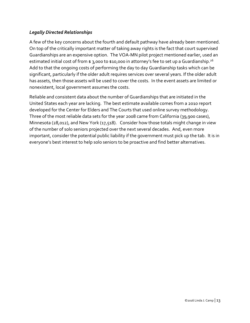## *Legally Directed Relationships*

A few of the key concerns about the fourth and default pathway have already been mentioned. On top of the critically important matter of taking away rights is the fact that court supervised Guardianships are an expensive option. The VOA-MN pilot project mentioned earlier, used an estimated initial cost of from  $\boldsymbol{\mathfrak{s}}$  3,000 to  $\boldsymbol{\mathfrak{s}}$ 10,000 in attorney's fee to set up a Guardianship. $^{26}$ Add to that the ongoing costs of performing the day to day Guardianship tasks which can be significant, particularly if the older adult requires services over several years. If the older adult has assets, then those assets will be used to cover the costs. In the event assets are limited or nonexistent, local government assumes the costs.

Reliable and consistent data about the number of Guardianships that are initiated in the United States each year are lacking. The best estimate available comes from a 2010 report developed for the Center for Elders and The Courts that used online survey methodology. Three of the most reliable data sets for the year 2008 came from California (39,900 cases), Minnesota (28,012), and New York (17,518). Consider how those totals might change in view of the number of solo seniors projected over the next several decades. And, even more important, consider the potential public liability if the government must pick up the tab. It is in everyone's best interest to help solo seniors to be proactive and find better alternatives.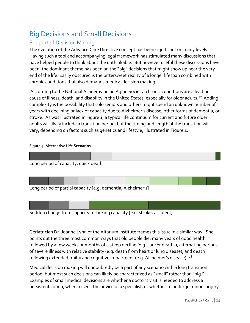# Big Decisions and Small Decisions

## Supported Decision Making

The evolution of the Advance Care Directive concept has been significant on many levels. Having such a tool and accompanying legal framework has stimulated many discussions that have helped people to think about the unthinkable. But however useful these discussions have been, the dominant theme has been on the "big" decisions that might show up near the very end of the life. Easily obscured is the bittersweet reality of a longer lifespan combined with chronic conditions that also demands medical decision making.

According to the National Academy on an Aging Society, chronic conditions are a leading cause of illness, death, and disability in the United States, especially for older adults.<sup>27</sup> Adding complexity is the possibility that solo seniors and others might spend an unknown number of years with declining or lack of capacity due to Alzheimer's disease, other forms of dementia, or stroke. As was illustrated in Figure 1, a typical life continuum for current and future older adults will likely include a transition period, but the timing and length of the transition will vary, depending on factors such as genetics and lifestyle, illustrated in Figure 4.

#### **Figure 4. Alternative Life Scenarios**



|  |  | Long period of partial capacity Je.g. dementia. Alzheimer's l |  |  |  |
|--|--|---------------------------------------------------------------|--|--|--|

Long period of partial capacity [e.g. dementia, Alzheimer's]

Sudden change from capacity to lacking capacity [e.g. stroke, accident]

Geriatrician Dr. Joanne Lynn of the Altarium Institute frames this issue in a similar way. She points out the three most common ways that old people die: many years of good health followed by a few weeks or months of a steep decline {e.g. cancer deaths), alternating periods of severe illness with relative stability (e.g. death from heart or lung disease), and death following extended frailty and cognitive impairment (e.g. Alzheimer's disease). <sup>28</sup>

Medical decision making will undoubtedly be a part of any scenario with a long transition period, but most such decisions can likely be characterized as "small" rather than "big." Examples of small medical decisions are whether a doctor's visit is needed to address a persistent cough, when to seek the advice of a specialist, or whether to undergo minor surgery.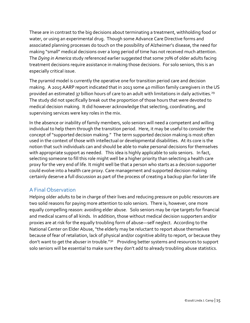These are in contrast to the big decisions about terminating a treatment, withholding food or water, or using an experimental drug. Though some Advance Care Directive forms and associated planning processes do touch on the possibility of Alzheimer's disease, the need for making "small" medical decisions over a long period of time has not received much attention. The *Dying in America* study referenced earlier suggested that some 70% of older adults facing treatment decisions require assistance in making those decisions. For solo seniors, this is an especially critical issue.

The pyramid model is currently the operative one for transition period care and decision making. A 2015 AARP report indicated that in 2013 some 40 million family caregivers in the US provided an estimated 37 billion hours of care to an adult with limitations in daily activities.<sup>29</sup> The study did not specifically break out the proportion of those hours that were devoted to medical decision making. It did however acknowledge that selecting, coordinating, and supervising services were key roles in the mix.

In the absence or inability of family members, solo seniors will need a competent and willing individual to help them through the transition period. Here, it may be useful to consider the concept of "supported decision making." The term supported decision making is most often used in the context of those with intellectual or developmental disabilities. At its core is the notion that such individuals can and should be able to make personal decisions for themselves with appropriate support as needed. This idea is highly applicable to solo seniors. In fact, selecting someone to fill this role might well be a higher priority than selecting a health care proxy for the very end of life. It might well be that a person who starts as a decision supporter could evolve into a health care proxy. Care management and supported decision making certainly deserve a full discussion as part of the process of creating a backup plan for later life

## A Final Observation

Helping older adults to be in charge of their lives and reducing pressure on public resources are two solid reasons for paying more attention to solo seniors. There is, however, one more equally compelling reason: avoiding elder abuse. Solo seniors may be ripe targets for financial and medical scams of all kinds. In addition, those without medical decision supporters and/or proxies are at risk for the equally troubling form of abuse—self neglect. According to the National Center on Elder Abuse, "the elderly may be reluctant to report abuse themselves because of fear of retaliation, lack of physical and/or cognitive ability to report, or because they don't want to get the abuser in trouble."<sup>30</sup> Providing better systems and resources to support solo seniors will be essential to make sure they don't add to already troubling abuse statistics.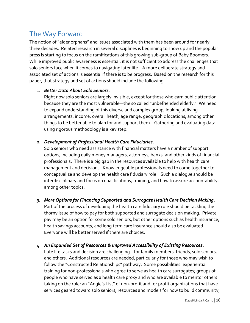# The Way Forward

The notion of "elder orphans" and issues associated with them has been around for nearly three decades. Related research in several disciplines is beginning to show up and the popular press is starting to focus on the ramifications of this growing sub-group of Baby Boomers. While improved public awareness is essential, it is not sufficient to address the challenges that solo seniors face when it comes to navigating later life. A more deliberate strategy and associated set of actions is essential if there is to be progress. Based on the research for this paper, that strategy and set of actions should include the following.

## 1. *Better Data About Solo Seniors*.

Right now solo seniors are largely invisible, except for those who earn public attention because they are the most vulnerable—the so called "unbefriended elderly." We need to expand understanding of this diverse and complex group, looking at living arrangements, income, overall heath, age range, geographic locations, among other things to be better able to plan for and support them. Gathering and evaluating data using rigorous methodology is a key step.

## *2. Development of Professional Health Care Fiduciaries.*

Solo seniors who need assistance with financial matters have a number of support options, including daily money managers, attorneys, banks, and other kinds of financial professionals. There is a big gap in the resources available to help with health care management and decisions. Knowledgeable professionals need to come together to conceptualize and develop the health care fiduciary role. Such a dialogue should be interdisciplinary and focus on qualifications, training, and how to assure accountability, among other topics.

## *3. More Options for Financing Supported and Surrogate Health Care Decision Making.*

Part of the process of developing the health care fiduciary role should be tackling the thorny issue of how to pay for both supported and surrogate decision making. Private pay may be an option for some solo seniors, but other options such as health insurance, health savings accounts, and long term care insurance should also be evaluated. Everyone will be better served if there are choices.

### 4. *An Expanded Set of Resources & Improved Accessibility of Existing Resources.*

Late life tasks and decision are challenging—for family members, friends, solo seniors, and others. Additional resources are needed, particularly for those who may wish to follow the "Constructed Relationships" pathway. Some possibilities: experiential training for non-professionals who agree to serve as health care surrogates; groups of people who have served as a health care proxy and who are available to mentor others taking on the role; an "Angie's List" of non-profit and for profit organizations that have services geared toward solo seniors; resources and models for how to build community,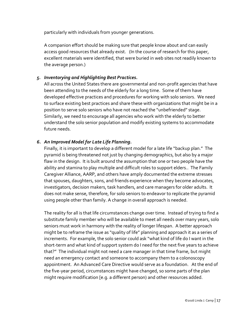particularly with individuals from younger generations.

A companion effort should be making sure that people know about and can easily access good resources that already exist. (In the course of research for this paper, excellent materials were identified, that were buried in web sites not readily known to the average person.)

## *5. Inventorying and Highlighting Best Practices.*

All across the United States there are governmental and non-profit agencies that have been attending to the needs of the elderly for a long time. Some of them have developed effective practices and procedures for working with solo seniors. We need to surface existing best practices and share these with organizations that might be in a position to serve solo seniors who have not reached the "unbefriended" stage. Similarly, we need to encourage all agencies who work with the elderly to better understand the solo senior population and modify existing systems to accommodate future needs.

### *6. An Improved Model for Late Life Planning.*

Finally, it is important to develop a different model for a late life "backup plan." The pyramid is being threatened not just by changing demographics, but also by a major flaw in the design. It is built around the assumption that one or two people have the ability and stamina to play multiple and difficult roles to support elders.. The Family Caregiver Alliance, AARP, and others have amply documented the extreme stresses that spouses, daughters, sons, and friends experience when they become advocates, investigators, decision makers, task handlers, and care managers for older adults. It does not make sense, therefore, for solo seniors to endeavor to replicate the pyramid using people other than family. A change in overall approach is needed.

The reality for all is that life circumstances change over time. Instead of trying to find a substitute family member who will be available to meet all needs over many years, solo seniors must work in harmony with the reality of longer lifespan. A better approach might be to reframe the issue as "quality of life" planning and approach it as a series of increments. For example, the solo senior could ask "what kind of life do I want in the short-term and what kind of support system do I need for the next five years to achieve that?" The individual might not need a care manager in that time frame, but might need an emergency contact and someone to accompany them to a colonoscopy appointment. An Advanced Care Directive would serve as a foundation. At the end of the five-year period, circumstances might have changed, so some parts of the plan might require modification [e.g. a different person) and other resources added.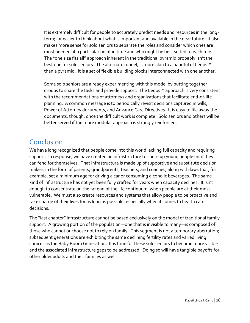It is extremely difficult for people to accurately predict needs and resources in the longterm; far easier to think about what is important and available in the near future. It also makes more sense for solo seniors to separate the roles and consider which ones are most needed at a particular point in time and who might be best suited to each role. The "one size fits all" approach inherent in the traditional pyramid probably isn't the best one for solo seniors. The alternate model, is more akin to a handful of Legos™ than a pyramid. It is a set of flexible building blocks interconnected with one another.

Some solo seniors are already experimenting with this model by putting together groups to share the tasks and provide support. The Legos™ approach is very consistent with the recommendations of attorneys and organizations that facilitate end-of-life planning. A common message is to periodically revisit decisions captured in wills, Power of Attorney documents, and Advance Care Directives. It is easy to file away the documents, though, once the difficult work is complete. Solo seniors and others will be better served if the more modular approach is strongly reinforced.

## Conclusion

We have long recognized that people come into this world lacking full capacity and requiring support. In response, we have created an infrastructure to shore up young people until they can fend for themselves. That infrastructure is made up of supportive and substitute decision makers in the form of parents, grandparents, teachers, and coaches, along with laws that, for example, set a minimum age for driving a car or consuming alcoholic beverages. The same kind of infrastructure has not yet been fully crafted for years when capacity declines. It isn't enough to concentrate on the far end of the life continuum, when people are at their most vulnerable. We must also create resources and systems that allow people to be proactive and take charge of their lives for as long as possible, especially when it comes to health care decisions.

The "last chapter" infrastructure cannot be based exclusively on the model of traditional family support. A growing portion of the population—one that is invisible to many—is composed of those who cannot or choose not to rely on family. This segment is not a temporary aberration; subsequent generations are exhibiting the same declining fertility rates and varied living choices as the Baby Boom Generation. It is time for these solo seniors to become more visible and the associated infrastructure gaps to be addressed. Doing so will have tangible payoffs for other older adults and their families as well.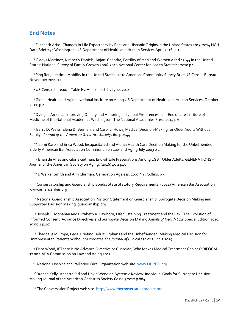## **End Notes**

l

<sup>1</sup> Elizabeth Arias, Changes in Life Expectancy by Race and Hispanic Origins in the United States 2013-2014 NCH Data Brief 244 Washington: US Department of Health and Human Services April 2016, p 1

<sup>2</sup> Gladys Martinez, Kimberly Daniels, Anjani Chandra, Fertility of Men and Women Aged 15-44 in the United States: National Survey of Family Growth 2006-2010 National Center for Health Statistics 2010 p 1

<sup>3</sup> Ping Ren, Lifetime Mobility in the United States: 2010 American Community Survey Brief US Census Bureau November 2011 p 1

<sup>4</sup> US Census bureau. – Table H2 Households by type, 2014

<sup>5</sup> Global Health and Aging, National Institute on Aging US Department of Health and Human Services, October 2011. p 2

<sup>6</sup> Dying in America: Improving Quality and Honoring Individual Preferences near End of Life Institute of Medicine of the National Academies Washington: The National Academies Press 2014 p 6

<sup>7</sup> Barry D. Weiss, Elena D. Berman, and Carol L. Howe, Medical Decision-Making for Older Adults Without Family *Journal of the American Geriatrics Society*. 60. p 2144

<sup>8</sup>Naomi Karp and Erica Wood. Incapacitated and Alone: Health Care Decision Making for the Unbefriended Elderly American Bar Association Commission on Law and Aging July 2003 p 1

<sup>9</sup> Brian de Vries and Gloria Gutman. End-of-Life Preparations Among LGBT Older Adults. GENERATIONS – Journal of the American Society on Aging. (2016) 40 2 p46

<sup>10</sup> J. Walker Smith and Ann Clurman. Generation Ageless. 2007 NY: Collins. p xii.

<sup>11</sup> Conservatorship and Guardianship Bonds: State Statutory Requirements. (2014) American Bar Association www.americanbar.org

<sup>12</sup> National Guardianship Association Position Statement on Guardianship, Surrogate Decision Making and Supported Decision Making guardianship.org

<sup>13</sup> Joseph T. Monahan and Elizabeth A. Lawhorn, Life Sustaining Treatment and the Law: The Evolution of Informed Consent, Advance Directives and Surrogate Decision Making Annals *of Health Law* Special Edition 2010, 19 no 1 p107

<sup>14</sup> Thaddeus M. Pope, Legal Briefing: Adult Orphans and the Unbefriended: Making Medical Decision for Unrepresented Patients Without Surrogates *The Journal of Clinical Ethics 26 no 2* 201*5*

<sup>15</sup> Erica Wood, If There is No Advance Directive or Guardian, Who Makes Medical Treatment Choices? BIFOCAL 37 no 1 ABA Commission on Law and Aging 2015

<sup>16</sup> National Hospice and Palliative Care Organization web site[. www.NHPCO.org](http://www.nhpco.org/)

<sup>17</sup> Brenna Kelly, Annette Rid and David Wendler, Systemic Review: Individual Goals for Surrogate Decision-Making Journal of the American Geriatrics Society 60 no 5 2012 p 884

<sup>18</sup> The Conversation Project web site[. http://www.theconversationproject.org](http://www.theconversationproject.org/)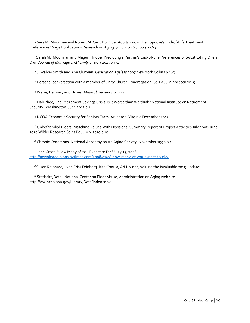<sup>19</sup> Sara M. Moorman and Robert M. Carr, Do Older Adults Know Their Spouse's End-of-Life Treatment Preferences? Sage Publications Research on Aging 31 no 4 p 463 2009 p 463

<sup>20</sup>Sarah M. Moorman and Megumi Inoue*,* Predicting a Partner's End-of-Life Preferences or Substituting One's Own *Journal of Marriage and Family* 75 no 3 2013 p 734

<sup>21</sup> J. Walker Smith and Ann Clurman. *Generation Ageless* 2007 New York Collins p 165

<sup>22</sup> Personal conversation with a member of Unity Church Congregation, St. Paul, Minnesota 2015

<sup>23</sup> Weise, Berman, and Howe. *Medical Decisions* p 2147

l

<sup>24</sup> Nali Rhee, The Retirement Savings Crisis: Is It Worse than We think? National Institute on Retirement Security Washington: June 2013 p 1

<sup>25</sup> NCOA Economic Security for Seniors Facts, Arlington, Virginia December 2013

<sup>26</sup> Unbefriended Elders: Matching Values With Decisions: Summary Report of Project Activities July 2008-June 2010 Wilder Research Saint Paul, MN 2010 p 10

<sup>27</sup> Chronic Conditions, National Academy on An Aging Society, November 1999 p.1

<sup>28</sup> Jane Gross. "How Many of You Expect to Die?"July 15, 2008. <http://newoldage.blogs.nytimes.com/2008/07/08/how-many-of-you-expect-to-die/>

<sup>29</sup>Susan Reinhard, Lynn Friss Feinberg, Rita Choula, Ari Houser, Valuing the Invaluable 2015 Update:

<sup>30</sup> Statistics/Data. National Center on Elder Abuse, Administration on Aging web site. http://ww.ncea.aoa,gov/Library/Data/index.aspx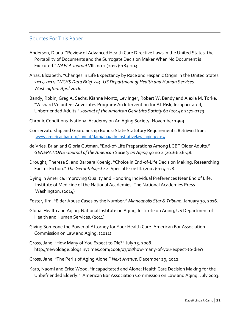## Sources For This Paper

l

- Anderson, Diana. "Review of Advanced Health Care Directive Laws in the United States, the Portability of Documents and the Surrogate Decision Maker When No Document is Executed." *NAELA Journal* VIII, no 2 (2012): 183-203.
- Arias, Elizabeth. "Changes in Life Expectancy by Race and Hispanic Origin in the United States 2013-2014. "*NCHS Data Brief 244. US Department of Health and Human Services, Washington: April 2016.*
- Bandy, Robin, Greg A. Sachs, Kianna Montz, Lev Inger, Robert W. Bandy and Alexia M. Torke. "Wishard Volunteer Advocates Program: An Intervention for At-Risk, Incapacitated, Unbefriended Adults." *Journal of the American Geriatrics Society* 62 (2014): 2171-2179.
- Chronic Conditions. National Academy on An Aging Society. November 1999.
- Conservatorship and Guardianship Bonds: State Statutory Requirements. Retrieved from [www.americanbar.org/conent/dam/aba/adminstrativelaw\\_aging/2014](http://www.americanbar.org/conent/dam/aba/adminstrativelaw_aging/2014)
- de Vries, Brian and Gloria Gutman. "End-of-Life Preparations Among LGBT Older Adults."  *GENERATIONS -Journal of the American Society on Aging* 40 no 2 (2016): 46-48.
- Drought, Theresa S. and Barbara Koenig. "Choice in End-of-Life Decision Making: Researching Fact or Fiction." *The Gerontologist* 42. Special Issue III. (2002): 114-128.
- Dying in America: Improving Quality and Honoring Individual Preferences Near End of Life. Institute of Medicine of the National Academies. The National Academies Press. Washington. (2014)
- Foster, Jim. "Elder Abuse Cases by the Number." *Minneapolis Star & Tribune*. January 30, 2016.
- Global Health and Aging. National Institute on Aging, Institute on Aging, US Department of Health and Human Services. (2011)
- Giving Someone the Power of Attorney for Your Health Care. American Bar Association Commission on Law and Aging. (2011)
- Gross, Jane. "How Many of You Expect to Die?" July 15, 2008. http://newoldage.blogs.nytimes.com/2008/07/08/how-many-of-you-expect-to-die?/
- Gross, Jane. "The Perils of Aging Alone." *Next Avenue*. December 29, 2012.
- Karp, Naomi and Erica Wood. "Incapacitated and Alone: Health Care Decision Making for the Unbefriended Elderly." American Bar Association Commission on Law and Aging. July 2003.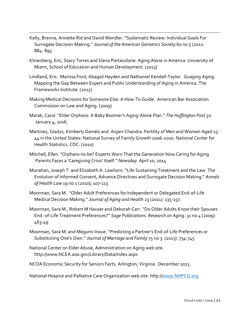Kelly, Brenna, Annette Rid and David Wendler. "Systematic Review: Individual Goals For Surrogate Decision-Making." *Journal of the American Geriatrics Society* 60 no 5 (2012: 884- 895

l

- Klinenberg, Eric, Stacy Torres and Elena Portacolone. Aging Alone in America. University of Miami, School of Education and Human Development. (2013)
- Lindland, Eric. Marissa Ford, Abagail Hayden and Nathaniel Kendall-Taylor. Guaging Aging: Mapping the Gap Between Expert and Public Understanding of Aging in America. The Frameworks Institute: (2015)
- Making Medical Decisions for Someone Else: A How-To Guide. American Bar Association Commission on Law and Aging. (2009)
- Marak, Carol. "Elder Orphans: A Baby Boomer's Aging-Alone Plan." *The Huffington Post 50.* January 4, 2016.
- Martinez, Gladys, Kimberly Daniels and Anjani Chandra. Fertility of Men and Women Aged 15- 44 in the United States: National Survey of Family Growth 2006-2010. National Center for Health Statistics. CDC: (2010)
- Mitchell, Ellen. "Orphans-to-be? Experts Warn That the Generation Now Caring for Aging Parents Faces a 'Caregiving Crisis' Itself." *Newsday.* April 10, 2014
- Monahan, Joseph T. and Elizabeth A. Lawhorn. "Life Sustaining Treatment and the Law: The Evolution of Informed Consent, Advance Directives and Surrogate Decision Making." *Annals of Health Law* 19 no 1 (2010); 107-113
- Moorman, Sara M. "Older Adult Preferences for Independent or Delegated End-of-Life Medical Decision Making." *Journal of Aging and Health* 23 (2011): 135-157.
- Moorman, Sara M., Robert M Hauser and Deborah Carr. "Do Older Adults Know their Spouses End- of-Life Treatment Preferences?" *Sage Publications. Research on Aging*. 31 no 4 (2009): 463-49
- Moorman, Sara M. and Megumi Inoue. "Predicting a Partner's End-of-Life Preferences or Substituting One's Own." *Journal of Marriage and Family* 75 no 3. (2013): 734-745
- National Center on Elder Abuse, Administration on Aging web site. http://www.NCEA.aoa.gov/Library/Data/index.aspx
- NCOA Economic Security for Seniors Facts. Arlington, Virginia: December 2013

National Hospice and Palliative Care Organization web site. http:/[/www.NHPCO.org](http://www.nhpco.org/)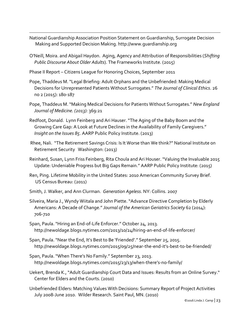- National Guardianship Association Position Statement on Guardianship, Surrogate Decision Making and Supported Decision Making. http://www.guardianship.org
- O'Neill, Moira. and Abigail Haydon. Aging, Agency and Attribution of Responsibilities (*Shifting Public Discourse About Older Adults*). The Frameworks Institute. (2015)
- Phase II Report Citizens League for Honoring Choices, September 2011

l

- Pope, Thaddeus M. "Legal Briefing: Adult Orphans and the Unbefriended: Making Medical Decisions for Unrepresented Patients Without Surrogates." *The Journal of Clinical Ethics*. 26 no 2 (2015): 180-187
- Pope, Thaddeus M. "Making Medical Decisions for Patients Without Surrogates." *New England Journal of Medicine. (2013):* 369:21
- Redfoot, Donald. Lynn Feinberg and Ari Hauser. "The Aging of the Baby Boom and the Growing Care Gap: A Look at Future Declines in the Availability of Family Caregivers." *Insight on the Issues 85*. AARP Public Policy Institute. (2013)
- Rhee, Nali. "The Retirement Savings Crisis: Is It Worse than We think?" National Institute on Retirement Security Washington: (2013)
- Reinhard, Susan, Lynn Friss Feinberg, Rita Choula and Ari Houser. "Valuing the Invaluable 2015 Update: Undeniable Progress but Big Gaps Remain." AARP Public Policy Institute: (2015)
- Ren, Ping. Lifetime Mobility in the United States: 2010 American Community Survey Brief. US Census Bureau: (2011)
- Smith, J. Walker, and Ann Clurman. *Generation Ageless*. NY: Collins. 2007
- Silveira, Maria J., Wyndy Wiitala and John Piette. "Advance Directive Completion by Elderly Americans: A Decade of Change." *Journal of the American Geriatrics Society* 62 (2014): 706-710
- Span, Paula. "Hiring an End-of-Life Enforcer." October 24, 2013. http://newoldage.blogs.nytimes.com/2013/10/24/hiring-an-end-of-life-enforcer/
- Span, Paula. "Near the End, It's Best to Be 'Friended'." September 25, 2015. http://newoldage.blogs.nytimes.com/2015/09/25/near-the-end-it's-best-to-be-friended/
- Span, Paula. "When There's No Family." September 23, 2013. http://newoldage.blogs.nytimes.com/2015/23/13/when-there's-no-family/
- Uekert, Brenda K., "Adult Guardianship Court Data and Issues: Results from an Online Survey." Center for Elders and the Courts. (2010)
- Unbefriended Elders: Matching Values With Decisions: Summary Report of Project Activities July 2008-June 2010. Wilder Research. Saint Paul, MN. (2010)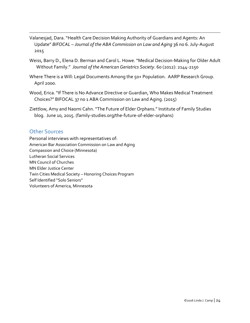- Valanesjad, Dara. "Health Care Decision Making Authority of Guardians and Agents: An Update" *BIFOCAL – Journal of the ABA Commission on Law and Aging* 36 no 6. July-August 2015
- Weiss, Barry D., Elena D. Berman and Carol L. Howe. "Medical Decision-Making for Older Adult Without Family." *Journal of the American Geriatrics Society*. 60 (2012): 2144-2150
- Where There is a Will: Legal Documents Among the 50+ Population. AARP Research Group. April 2000.
- Wood, Erica. "If There is No Advance Directive or Guardian, Who Makes Medical Treatment Choices?" BIFOCAL 37 no 1 ABA Commission on Law and Aging. (2015)
- Ziettlow, Amy and Naomi Cahn. "The Future of Elder Orphans." Institute of Family Studies blog. June 10, 2015. (family-studies.org/the-future-of-elder-orphans)

## Other Sources

l

Personal interviews with representatives of: American Bar Association Commission on Law and Aging Compassion and Choice (Minnesota) Lutheran Social Services MN Council of Churches MN Elder Justice Center Twin Cities Medical Society – Honoring Choices Program Self Identified "Solo Seniors" Volunteers of America, Minnesota